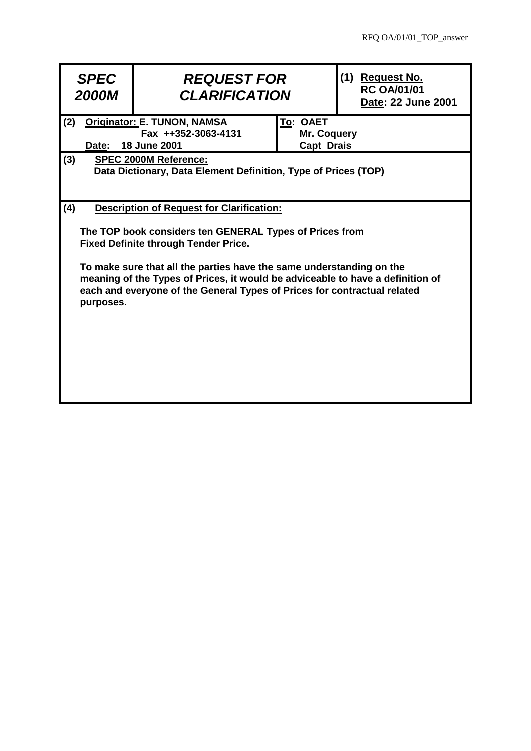| <b>SPEC</b><br><b>2000M</b>                                                                                                                                                                                                                                                                                                                                                                                          | <b>REQUEST FOR</b><br><b>CLARIFICATION</b> |                                              | (1) Request No.<br><b>RC OA/01/01</b><br>Date: 22 June 2001 |  |
|----------------------------------------------------------------------------------------------------------------------------------------------------------------------------------------------------------------------------------------------------------------------------------------------------------------------------------------------------------------------------------------------------------------------|--------------------------------------------|----------------------------------------------|-------------------------------------------------------------|--|
| Originator: E. TUNON, NAMSA<br>(2)<br>Fax ++352-3063-4131<br><b>18 June 2001</b><br>Date:                                                                                                                                                                                                                                                                                                                            |                                            | To: OAET<br>Mr. Coquery<br><b>Capt Drais</b> |                                                             |  |
| (3)<br><b>SPEC 2000M Reference:</b><br>Data Dictionary, Data Element Definition, Type of Prices (TOP)                                                                                                                                                                                                                                                                                                                |                                            |                                              |                                                             |  |
| (4)<br><b>Description of Request for Clarification:</b><br>The TOP book considers ten GENERAL Types of Prices from<br><b>Fixed Definite through Tender Price.</b><br>To make sure that all the parties have the same understanding on the<br>meaning of the Types of Prices, it would be adviceable to have a definition of<br>each and everyone of the General Types of Prices for contractual related<br>purposes. |                                            |                                              |                                                             |  |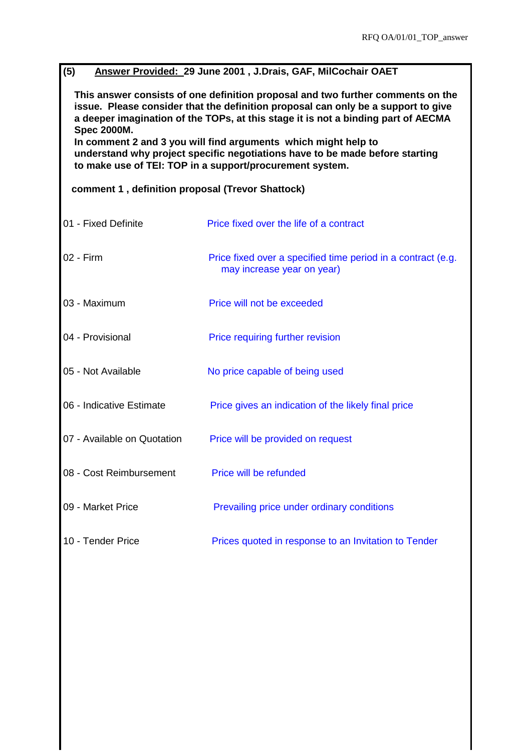| (5)<br>Answer Provided: 29 June 2001, J.Drais, GAF, MilCochair OAET                                                                                                                                                                                                             |                                                                                            |  |  |  |
|---------------------------------------------------------------------------------------------------------------------------------------------------------------------------------------------------------------------------------------------------------------------------------|--------------------------------------------------------------------------------------------|--|--|--|
| This answer consists of one definition proposal and two further comments on the<br>issue. Please consider that the definition proposal can only be a support to give<br>a deeper imagination of the TOPs, at this stage it is not a binding part of AECMA<br><b>Spec 2000M.</b> |                                                                                            |  |  |  |
| In comment 2 and 3 you will find arguments which might help to<br>understand why project specific negotiations have to be made before starting<br>to make use of TEI: TOP in a support/procurement system.                                                                      |                                                                                            |  |  |  |
| comment 1, definition proposal (Trevor Shattock)                                                                                                                                                                                                                                |                                                                                            |  |  |  |
| 01 - Fixed Definite                                                                                                                                                                                                                                                             | Price fixed over the life of a contract                                                    |  |  |  |
| 02 - Firm                                                                                                                                                                                                                                                                       | Price fixed over a specified time period in a contract (e.g.<br>may increase year on year) |  |  |  |
| 03 - Maximum                                                                                                                                                                                                                                                                    | Price will not be exceeded                                                                 |  |  |  |
| 04 - Provisional                                                                                                                                                                                                                                                                | Price requiring further revision                                                           |  |  |  |
| 05 - Not Available                                                                                                                                                                                                                                                              | No price capable of being used                                                             |  |  |  |
| 06 - Indicative Estimate                                                                                                                                                                                                                                                        | Price gives an indication of the likely final price                                        |  |  |  |
| 07 - Available on Quotation                                                                                                                                                                                                                                                     | Price will be provided on request                                                          |  |  |  |
| 08 - Cost Reimbursement                                                                                                                                                                                                                                                         | Price will be refunded                                                                     |  |  |  |
| 09 - Market Price                                                                                                                                                                                                                                                               | Prevailing price under ordinary conditions                                                 |  |  |  |
| 10 - Tender Price                                                                                                                                                                                                                                                               | Prices quoted in response to an Invitation to Tender                                       |  |  |  |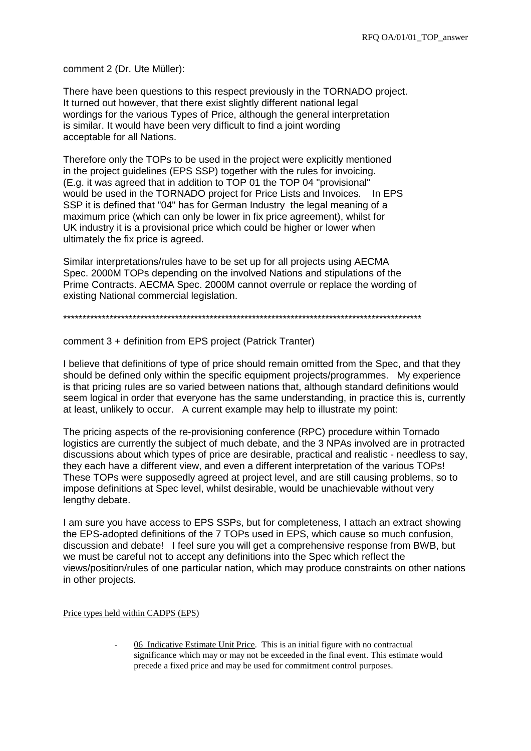comment 2 (Dr. Ute Müller):

There have been questions to this respect previously in the TORNADO project. It turned out however, that there exist slightly different national legal wordings for the various Types of Price, although the general interpretation is similar. It would have been very difficult to find a joint wording acceptable for all Nations.

Therefore only the TOPs to be used in the project were explicitly mentioned in the project guidelines (EPS SSP) together with the rules for invoicing. (E.g. it was agreed that in addition to TOP 01 the TOP 04 "provisional" would be used in the TORNADO project for Price Lists and Invoices. In EPS SSP it is defined that "04" has for German Industry the legal meaning of a maximum price (which can only be lower in fix price agreement), whilst for UK industry it is a provisional price which could be higher or lower when ultimately the fix price is agreed.

Similar interpretations/rules have to be set up for all projects using AECMA Spec. 2000M TOPs depending on the involved Nations and stipulations of the Prime Contracts. AECMA Spec. 2000M cannot overrule or replace the wording of existing National commercial legislation.

\*\*\*\*\*\*\*\*\*\*\*\*\*\*\*\*\*\*\*\*\*\*\*\*\*\*\*\*\*\*\*\*\*\*\*\*\*\*\*\*\*\*\*\*\*\*\*\*\*\*\*\*\*\*\*\*\*\*\*\*\*\*\*\*\*\*\*\*\*\*\*\*\*\*\*\*\*\*\*\*\*\*\*\*\*\*\*\*\*\*\*\*\*

comment 3 + definition from EPS project (Patrick Tranter)

I believe that definitions of type of price should remain omitted from the Spec, and that they should be defined only within the specific equipment projects/programmes. My experience is that pricing rules are so varied between nations that, although standard definitions would seem logical in order that everyone has the same understanding, in practice this is, currently at least, unlikely to occur. A current example may help to illustrate my point:

The pricing aspects of the re-provisioning conference (RPC) procedure within Tornado logistics are currently the subject of much debate, and the 3 NPAs involved are in protracted discussions about which types of price are desirable, practical and realistic - needless to say, they each have a different view, and even a different interpretation of the various TOPs! These TOPs were supposedly agreed at project level, and are still causing problems, so to impose definitions at Spec level, whilst desirable, would be unachievable without very lengthy debate.

I am sure you have access to EPS SSPs, but for completeness, I attach an extract showing the EPS-adopted definitions of the 7 TOPs used in EPS, which cause so much confusion, discussion and debate! I feel sure you will get a comprehensive response from BWB, but we must be careful not to accept any definitions into the Spec which reflect the views/position/rules of one particular nation, which may produce constraints on other nations in other projects.

Price types held within CADPS (EPS)

- 06 Indicative Estimate Unit Price. This is an initial figure with no contractual significance which may or may not be exceeded in the final event. This estimate would precede a fixed price and may be used for commitment control purposes.